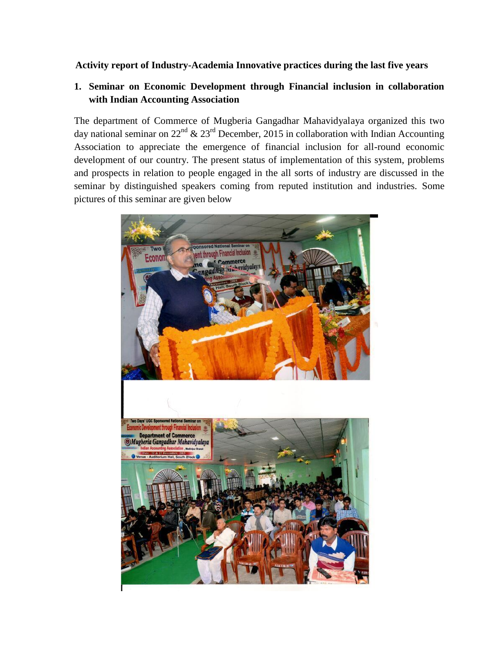## **Activity report of Industry-Academia Innovative practices during the last five years**

## **1. Seminar on Economic Development through Financial inclusion in collaboration with Indian Accounting Association**

The department of Commerce of Mugberia Gangadhar Mahavidyalaya organized this two day national seminar on  $22^{nd}$  &  $23^{rd}$  December, 2015 in collaboration with Indian Accounting Association to appreciate the emergence of financial inclusion for all-round economic development of our country. The present status of implementation of this system, problems and prospects in relation to people engaged in the all sorts of industry are discussed in the seminar by distinguished speakers coming from reputed institution and industries. Some pictures of this seminar are given below

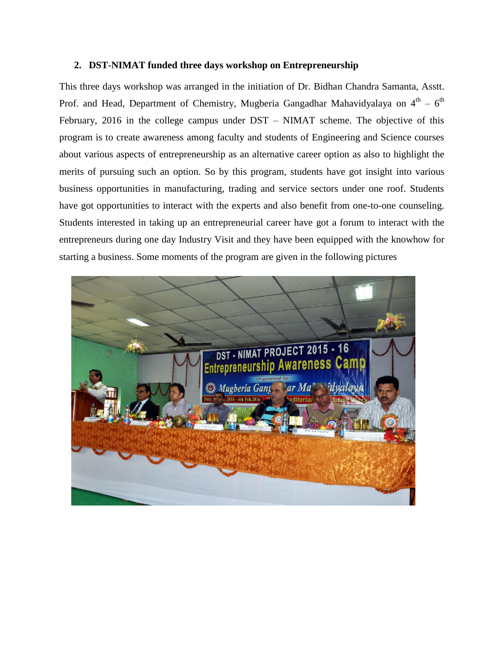## **2. DST-NIMAT funded three days workshop on Entrepreneurship**

This three days workshop was arranged in the initiation of Dr. Bidhan Chandra Samanta, Asstt. Prof. and Head, Department of Chemistry, Mugberia Gangadhar Mahavidyalaya on  $4^{\text{th}} - 6^{\text{th}}$ February, 2016 in the college campus under DST – NIMAT scheme. The objective of this program is to create awareness among faculty and students of Engineering and Science courses about various aspects of entrepreneurship as an alternative career option as also to highlight the merits of pursuing such an option. So by this program, students have got insight into various business opportunities in manufacturing, trading and service sectors under one roof. Students have got opportunities to interact with the experts and also benefit from one-to-one counseling. Students interested in taking up an entrepreneurial career have got a forum to interact with the entrepreneurs during one day Industry Visit and they have been equipped with the knowhow for starting a business. Some moments of the program are given in the following pictures

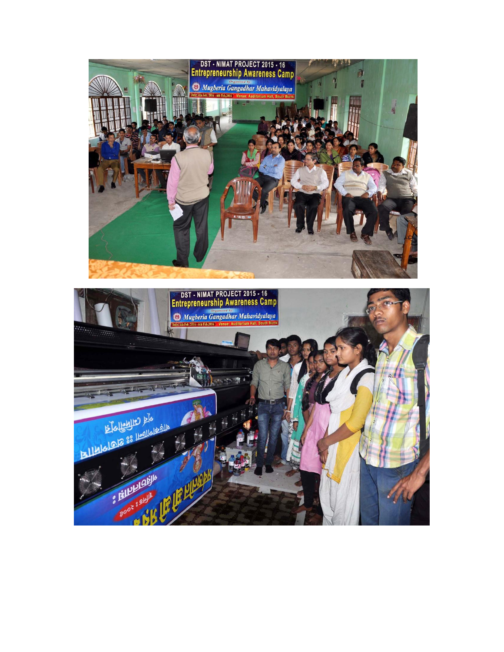